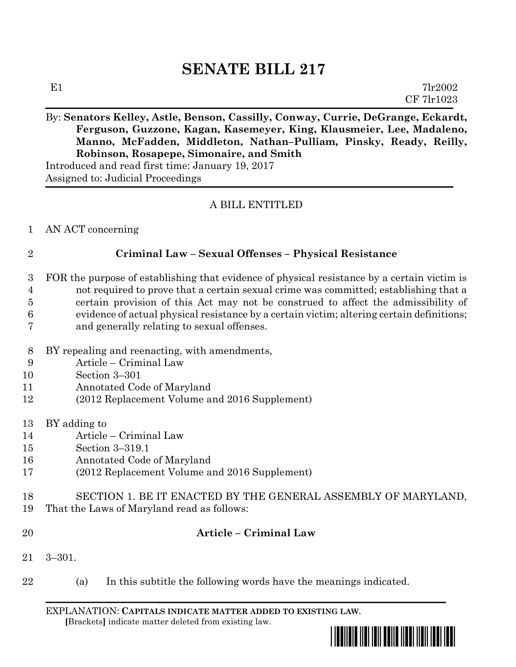# **SENATE BILL 217**

### By: **Senators Kelley, Astle, Benson, Cassilly, Conway, Currie, DeGrange, Eckardt, Ferguson, Guzzone, Kagan, Kasemeyer, King, Klausmeier, Lee, Madaleno, Manno, McFadden, Middleton, Nathan–Pulliam, Pinsky, Ready, Reilly, Robinson, Rosapepe, Simonaire, and Smith**

Introduced and read first time: January 19, 2017 Assigned to: Judicial Proceedings

## A BILL ENTITLED

AN ACT concerning

### **Criminal Law – Sexual Offenses – Physical Resistance**

- FOR the purpose of establishing that evidence of physical resistance by a certain victim is not required to prove that a certain sexual crime was committed; establishing that a certain provision of this Act may not be construed to affect the admissibility of evidence of actual physical resistance by a certain victim; altering certain definitions; and generally relating to sexual offenses.
- BY repealing and reenacting, with amendments,
- Article Criminal Law
- Section 3–301
- Annotated Code of Maryland
- (2012 Replacement Volume and 2016 Supplement)
- BY adding to
- Article Criminal Law
- Section 3–319.1
- Annotated Code of Maryland
- (2012 Replacement Volume and 2016 Supplement)
- SECTION 1. BE IT ENACTED BY THE GENERAL ASSEMBLY OF MARYLAND,
- That the Laws of Maryland read as follows:
- 

# **Article – Criminal Law**

- 3–301.
- (a) In this subtitle the following words have the meanings indicated.

EXPLANATION: **CAPITALS INDICATE MATTER ADDED TO EXISTING LAW**.  **[**Brackets**]** indicate matter deleted from existing law.

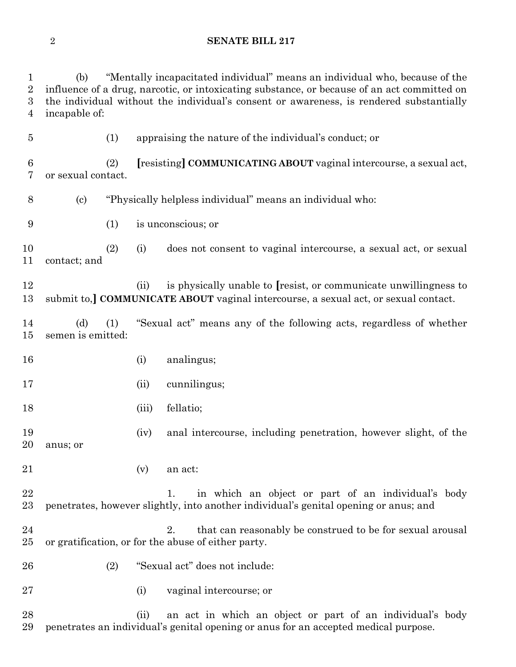#### **SENATE BILL 217**

 (b) "Mentally incapacitated individual" means an individual who, because of the influence of a drug, narcotic, or intoxicating substance, or because of an act committed on the individual without the individual's consent or awareness, is rendered substantially incapable of:

(1) appraising the nature of the individual's conduct; or

 (2) **[**resisting**] COMMUNICATING ABOUT** vaginal intercourse, a sexual act, or sexual contact.

(c) "Physically helpless individual" means an individual who:

(1) is unconscious; or

 (2) (i) does not consent to vaginal intercourse, a sexual act, or sexual contact; and

 (ii) is physically unable to **[**resist, or communicate unwillingness to submit to,**] COMMUNICATE ABOUT** vaginal intercourse, a sexual act, or sexual contact.

 (d) (1) "Sexual act" means any of the following acts, regardless of whether semen is emitted:

- (i) analingus;
- (ii) cunnilingus;
- (iii) fellatio;

 (iv) anal intercourse, including penetration, however slight, of the anus; or

(v) an act:

22 1. in which an object or part of an individual's body penetrates, however slightly, into another individual's genital opening or anus; and

- 24 2. that can reasonably be construed to be for sexual arousal or gratification, or for the abuse of either party.
- (2) "Sexual act" does not include:
- (i) vaginal intercourse; or

 (ii) an act in which an object or part of an individual's body penetrates an individual's genital opening or anus for an accepted medical purpose.